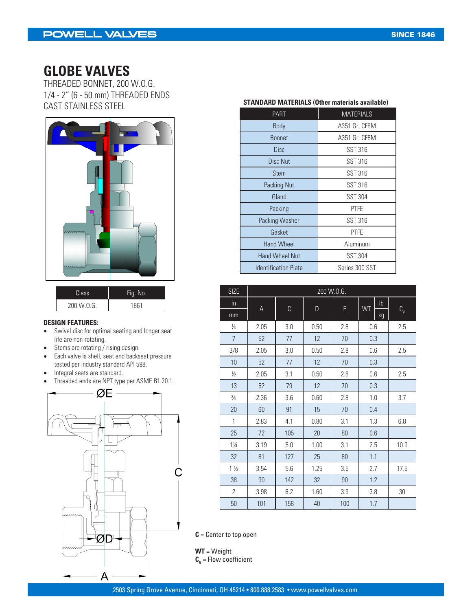### **GLOBE VALVES**

THREADED BONNET, 200 W.O.G. 1/4 - 2" (6 - 50 mm) THREADED ENDS CAST STAINLESS STEEL **STANDARD MATERIALS (Other materials available)**



| Class:     | Fig. No. |
|------------|----------|
| 200 W.O.G. | 1861     |

#### **DESIGN FEATURES:**

- Swivel disc for optimal seating and longer seat life are non-rotating.
- Stems are rotating / rising design.<br>• Each valve is shell, seat and backs
- Each valve is shell, seat and backseat pressure tested per industry standard API 598.
- Integral seats are standard.
- Threaded ends are NPT type per ASME B1.20.1.



| <b>PART</b>                 | <b>MATERIALS</b> |
|-----------------------------|------------------|
| <b>Body</b>                 | A351 Gr. CF8M    |
| <b>Bonnet</b>               | A351 Gr. CF8M    |
| <b>Disc</b>                 | SST 316          |
| Disc Nut                    | SST 316          |
| Stem                        | SST 316          |
| Packing Nut                 | <b>SST 316</b>   |
| Gland                       | <b>SST 304</b>   |
| Packing                     | <b>PTFE</b>      |
| Packing Washer              | <b>SST 316</b>   |
| Gasket                      | <b>PTFE</b>      |
| <b>Hand Wheel</b>           | Aluminum         |
| <b>Hand Wheel Nut</b>       | <b>SST 304</b>   |
| <b>Identification Plate</b> | Series 300 SST   |

| <b>SIZE</b>    | 200 W.O.G. |     |      |     |                 |            |  |
|----------------|------------|-----|------|-----|-----------------|------------|--|
| in             |            |     |      |     | Ib<br><b>WT</b> |            |  |
| mm             | A          | C   | D    | E   | kg              | $C_{\vee}$ |  |
| $\frac{1}{4}$  | 2.05       | 3.0 | 0.50 | 2.8 | 0.6             | 2.5        |  |
| $\overline{7}$ | 52         | 77  | 12   | 70  | 0.3             |            |  |
| 3/8            | 2.05       | 3.0 | 0.50 | 2.8 | 0.6             | 2.5        |  |
| 10             | 52         | 77  | 12   | 70  | 0.3             |            |  |
| $\frac{1}{2}$  | 2.05       | 3.1 | 0.50 | 2.8 | 0.6             | 2.5        |  |
| 13             | 52         | 79  | 12   | 70  | 0.3             |            |  |
| $\frac{3}{4}$  | 2.36       | 3.6 | 0.60 | 2.8 | 1.0             | 3.7        |  |
| 20             | 60         | 91  | 15   | 70  | 0.4             |            |  |
| 1              | 2.83       | 4.1 | 0.80 | 3.1 | 1.3             | 6.8        |  |
| 25             | 72         | 105 | 20   | 80  | 0.6             |            |  |
| $1\frac{1}{4}$ | 3.19       | 5.0 | 1.00 | 3.1 | 2.5             | 10.9       |  |
| 32             | 81         | 127 | 25   | 80  | 1.1             |            |  |
| $1\frac{1}{2}$ | 3.54       | 5.6 | 1.25 | 3.5 | 2.7             | 17.5       |  |
| 38             | 90         | 142 | 32   | 90  | 1.2             |            |  |
| 2              | 3.98       | 6.2 | 1.60 | 3.9 | 3.8             | 30         |  |
| 50             | 101        | 158 | 40   | 100 | 1.7             |            |  |

**C** = Center to top open

**WT** = Weight  $\textbf{C}_{\textbf{v}}$  = Flow coefficient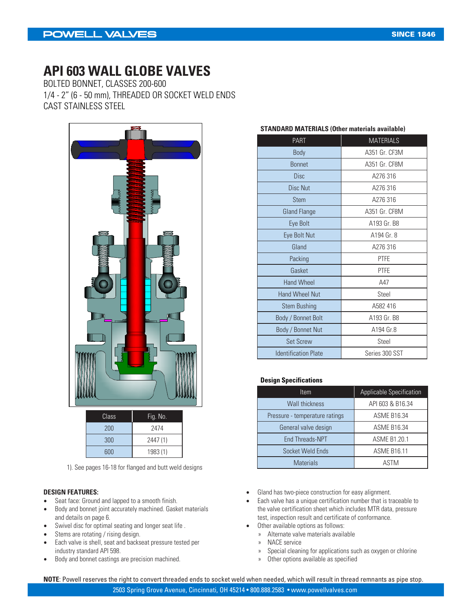### **API 603 WALL GLOBE VALVES**

BOLTED BONNET, CLASSES 200-600 1/4 - 2" (6 - 50 mm), THREADED OR SOCKET WELD ENDS CAST STAINLESS STEEL



| Class <sup>'</sup> | Fig. No. |
|--------------------|----------|
| 200                | 2474     |
| 300                | 2447 (1) |
| 600                | 1983 (1) |
|                    |          |

1). See pages 16-18 for flanged and butt weld designs

#### **DESIGN FEATURES:**

- Seat face: Ground and lapped to a smooth finish.<br>• Body and bonnet joint accurately machined Gask
- Body and bonnet joint accurately machined. Gasket materials and details on page 6.
- Swivel disc for optimal seating and longer seat life .<br>• Stems are rotating / rising design
- Stems are rotating / rising design.
- Each valve is shell, seat and backseat pressure tested per industry standard API 598.
- Body and bonnet castings are precision machined.

| <b>PART</b>   | <b>MATERIALS</b>                |
|---------------|---------------------------------|
| <b>Body</b>   | A351 Gr. CF3M                   |
| <b>Bonnet</b> | A351 Gr. CF8M                   |
| <b>Disc</b>   | A276316                         |
| Disc Nut      | A276316                         |
| <b>Stem</b>   | A276 316                        |
| Claud Flannin | $A \cap F A$ $C$ . $C F \cap A$ |

**STANDARD MATERIALS (Other materials available)**

### Gland Flange **A351 Gr. CF8M** Eye Bolt **A193 Gr. B8** Eye Bolt Nut Research A194 Gr. 8 Gland **A276 316** Packing **PTFE** Gasket **PTFE** Hand Wheel **A47** Hand Wheel Nut **Steel**

| Stem Bushing                | A582 416       |
|-----------------------------|----------------|
| Body / Bonnet Bolt          | A193 Gr. B8    |
| Body / Bonnet Nut           | A194 Gr.8      |
| <b>Set Screw</b>            | Steel          |
| <b>Identification Plate</b> | Series 300 SST |

#### **Design Specifications**

| <b>Item</b>                    | Applicable Specification |
|--------------------------------|--------------------------|
| <b>Wall thickness</b>          | API 603 & B16.34         |
| Pressure - temperature ratings | <b>ASME B16.34</b>       |
| General valve design           | <b>ASME B16.34</b>       |
| <b>End Threads-NPT</b>         | ASME B1.20.1             |
| Socket Weld Ends               | <b>ASME B16.11</b>       |
| <b>Materials</b>               | <b>ASTM</b>              |

- Gland has two-piece construction for easy alignment.
- Each valve has a unique certification number that is traceable to the valve certification sheet which includes MTR data, pressure test, inspection result and certificate of conformance.
- Other available options as follows:
	- » Alternate valve materials available
	- » NACE service
	- » Special cleaning for applications such as oxygen or chlorine
	- » Other options available as specified

**NOTE**: Powell reserves the right to convert threaded ends to socket weld when needed, which will result in thread remnants as pipe stop.

2503 Spring Grove Avenue, Cincinnati, OH 45214 • 800.888.2583 • www.powellvalves.com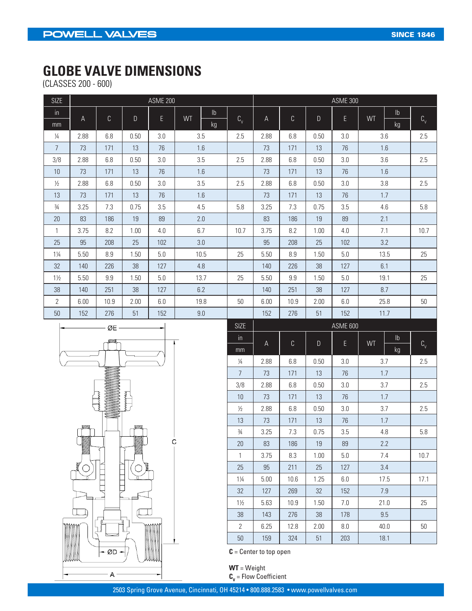## **GLOBE VALVE DIMENSIONS**

(CLASSES 200 - 600)

| <b>SIZE</b>    | <b>ASME 200</b> |      |      |     |    |             |                           |               | <b>ASME 300</b> |                 |     |           |      |            |               |  |
|----------------|-----------------|------|------|-----|----|-------------|---------------------------|---------------|-----------------|-----------------|-----|-----------|------|------------|---------------|--|
| $\mathsf{in}$  |                 |      |      |     |    |             |                           | $\mathsf{lb}$ |                 |                 |     |           |      |            | $\mathsf{lb}$ |  |
| mm             | A               | C    | D    | E.  | WT | kg          | $\mathbf{C}_{\mathbf{v}}$ | A             | $\mathbb C$     | D               | E   | <b>WT</b> | kg   | $C_{\vee}$ |               |  |
| $\frac{1}{4}$  | 2.88            | 6.8  | 0.50 | 3.0 |    | 3.5         | 2.5                       | 2.88          | 6.8             | 0.50            | 3.0 |           | 3.6  | 2.5        |               |  |
| $\overline{7}$ | 73              | 171  | 13   | 76  |    | 1.6         |                           | 73            | 171             | 13              | 76  |           | 1.6  |            |               |  |
| 3/8            | 2.88            | 6.8  | 0.50 | 3.0 |    | 3.5         | 2.5                       | 2.88          | 6.8             | 0.50            | 3.0 |           | 3.6  | 2.5        |               |  |
| 10             | 73              | 171  | 13   | 76  |    | 1.6         |                           | 73            | 171             | 13              | 76  |           | 1.6  |            |               |  |
| $\frac{1}{2}$  | 2.88            | 6.8  | 0.50 | 3.0 |    | 3.5         | 2.5                       | 2.88          | 6.8             | 0.50            | 3.0 |           | 3.8  | 2.5        |               |  |
| 13             | 73              | 171  | 13   | 76  |    | 1.6         |                           | 73            | 171             | 13              | 76  |           | 1.7  |            |               |  |
| $\frac{3}{4}$  | 3.25            | 7.3  | 0.75 | 3.5 |    | 4.5         | 5.8                       | 3.25          | 7.3             | 0.75            | 3.5 |           | 4.6  | 5.8        |               |  |
| 20             | 83              | 186  | 19   | 89  |    | 2.0         |                           | 83            | 186             | 19              | 89  |           | 2.1  |            |               |  |
| $\mathbf{1}$   | 3.75            | 8.2  | 1.00 | 4.0 |    | 6.7         | 10.7                      | 3.75          | 8.2             | 1.00            | 4.0 |           | 7.1  | 10.7       |               |  |
| 25             | 95              | 208  | 25   | 102 |    | 3.0         |                           | 95            | 208             | 25              | 102 |           | 3.2  |            |               |  |
| $1\frac{1}{4}$ | 5.50            | 8.9  | 1.50 | 5.0 |    | 10.5        | 25                        | 5.50          | 8.9             | 1.50            | 5.0 |           | 13.5 | 25         |               |  |
| 32             | 140             | 226  | 38   | 127 |    | 4.8         |                           | 140           | 226             | 38              | 127 |           | 6.1  |            |               |  |
| $1\frac{1}{2}$ | 5.50            | 9.9  | 1.50 | 5.0 |    | 13.7        | 25                        | 5.50          | 9.9             | 1.50            | 5.0 |           | 19.1 | 25         |               |  |
| 38             | 140             | 251  | 38   | 127 |    | 6.2         |                           | 140           | 251             | 38              | 127 |           | 8.7  |            |               |  |
| $\overline{2}$ | 6.00            | 10.9 | 2.00 | 6.0 |    | 19.8        | 50                        | 6.00          | 10.9            | 2.00            | 6.0 |           | 25.8 | 50         |               |  |
| 50             | 152             | 276  | 51   | 152 |    | 9.0         |                           | 152           | 276             | 51              | 152 |           | 11.7 |            |               |  |
| ╼              | $ \alpha$ F $-$ |      |      |     |    | <b>SIZE</b> |                           |               |                 | <b>ASME 600</b> |     |           |      |            |               |  |



| <b>SIZE</b>    | ASME 600 |             |             |     |                            |                     |  |
|----------------|----------|-------------|-------------|-----|----------------------------|---------------------|--|
| in             | A        | $\mathsf C$ | $\mathsf D$ | E   | $\mathsf{lb}$<br><b>WT</b> |                     |  |
| mm             |          |             |             |     | kg                         | $\text{C}_\text{v}$ |  |
| $\frac{1}{4}$  | 2.88     | 6.8         | 0.50        | 3.0 | 3.7                        | 2.5                 |  |
| $\overline{7}$ | 73       | 171         | 13          | 76  | 1.7                        |                     |  |
| 3/8            | 2.88     | 6.8         | 0.50        | 3.0 | 3.7                        | 2.5                 |  |
| 10             | 73       | 171         | 13          | 76  | 1.7                        |                     |  |
| $\frac{1}{2}$  | 2.88     | 6.8         | 0.50        | 3.0 | 3.7                        | 2.5                 |  |
| 13             | 73       | 171         | 13          | 76  | 1.7                        |                     |  |
| $\frac{3}{4}$  | 3.25     | 7.3         | 0.75        | 3.5 | 4.8                        | 5.8                 |  |
| 20             | 83       | 186         | 19          | 89  | 2.2                        |                     |  |
| 1              | 3.75     | 8.3         | 1.00        | 5.0 | 7.4                        | 10.7                |  |
| 25             | 95       | 211         | 25          | 127 | 3.4                        |                     |  |
| $1\frac{1}{4}$ | 5.00     | 10.6        | 1.25        | 6.0 | 17.5                       | 17.1                |  |
| 32             | 127      | 269         | 32          | 152 | 7.9                        |                     |  |
| $1\frac{1}{2}$ | 5.63     | 10.9        | 1.50        | 7.0 | 21.0                       | 25                  |  |
| 38             | 143      | 276         | 38          | 178 | 9.5                        |                     |  |
| $\overline{2}$ | 6.25     | 12.8        | 2.00        | 8.0 | 40.0                       | 50                  |  |
| 50             | 159      | 324         | 51          | 203 | 18.1                       |                     |  |

**C** = Center to top open

**WT** = Weight  $\mathbf{C_v}$  = Flow Coefficient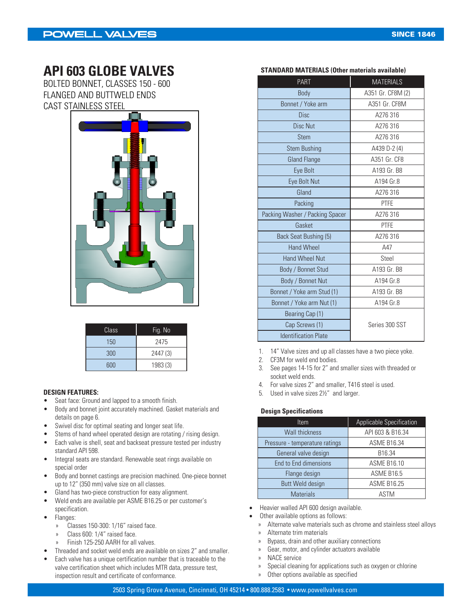### **API 603 GLOBE VALVES**

BOLTED BONNET, CLASSES 150 - 600 FLANGED AND BUTTWELD ENDS CAST STAINLESS STEEL



| Class | Fig. No  |
|-------|----------|
| 150   | 2475     |
| 300   | 2447 (3) |
| 600   | 1983 (3) |

- Seat face: Ground and lapped to a smooth finish.
- Body and bonnet joint accurately machined. Gasket materials and details on page 6.
- Swivel disc for optimal seating and longer seat life.
- Stems of hand wheel operated design are rotating / rising design.
- Each valve is shell, seat and backseat pressure tested per industry standard API 598.
- Integral seats are standard. Renewable seat rings available on special order
- Body and bonnet castings are precision machined. One-piece bonnet up to 12" (350 mm) valve size on all classes.
- Gland has two-piece construction for easy alignment.
- Weld ends are available per ASME B16.25 or per customer's
- specification.
- Flanges:
	- » Classes 150-300: 1/16" raised face.
	- » Class 600: 1/4" raised face.
	- » Finish 125-250 AARH for all valves.
- Threaded and socket weld ends are available on sizes 2" and smaller.
- Each valve has a unique certification number that is traceable to the valve certification sheet which includes MTR data, pressure test, inspection result and certificate of conformance.

| <b>PART</b>                     | <b>MATERIALS</b>  |
|---------------------------------|-------------------|
| Body                            | A351 Gr. CF8M (2) |
| Bonnet / Yoke arm               | A351 Gr. CF8M     |
| <b>Disc</b>                     | A276 316          |
| Disc Nut                        | A276 316          |
| <b>Stem</b>                     | A276 316          |
| <b>Stem Bushing</b>             | A439 D-2 (4)      |
| <b>Gland Flange</b>             | A351 Gr. CF8      |
| Eye Bolt                        | A193 Gr. B8       |
| Eye Bolt Nut                    | A194 Gr.8         |
| Gland                           | A276 316          |
| Packing                         | <b>PTFE</b>       |
| Packing Washer / Packing Spacer | A276 316          |
| Gasket                          | PTFE              |
| Back Seat Bushing (5)           | A276 316          |
| <b>Hand Wheel</b>               | A47               |
| <b>Hand Wheel Nut</b>           | Steel             |
| Body / Bonnet Stud              | A193 Gr. B8       |
| Body / Bonnet Nut               | A194 Gr.8         |
| Bonnet / Yoke arm Stud (1)      | A193 Gr. B8       |
| Bonnet / Yoke arm Nut (1)       | A194 Gr.8         |
| Bearing Cap (1)                 |                   |
| Cap Screws (1)                  | Series 300 SST    |
| <b>Identification Plate</b>     |                   |

- 1. 14" Valve sizes and up all classes have a two piece yoke.
- 2. CF3M for weld end bodies.
- 3. See pages 14-15 for 2" and smaller sizes with threaded or socket weld ends.
- 4. For valve sizes 2" and smaller, T416 steel is used.
- **DESIGN FEATURES: DESIGN FEATURES:** 5. Used in valve sizes 2 $\frac{y}{z}$  and larger.

#### **Design Specifications**

| <b>Item</b>                    | <b>Applicable Specification</b> |
|--------------------------------|---------------------------------|
| <b>Wall thickness</b>          | API 603 & B16.34                |
| Pressure - temperature ratings | <b>ASME B16.34</b>              |
| General valve design           | B16.34                          |
| End to End dimensions          | <b>ASME B16.10</b>              |
| Flange design                  | ASME B16.5                      |
| Butt Weld design               | <b>ASME B16.25</b>              |
| <b>Materials</b>               | ASTM                            |

- Heavier walled API 600 design available.
- Other available options as follows:
- » Alternate valve materials such as chrome and stainless steel alloys
- » Alternate trim materials
- » Bypass, drain and other auxiliary connections
- » Gear, motor, and cylinder actuators available
- » NACE service
- » Special cleaning for applications such as oxygen or chlorine
- » Other options available as specified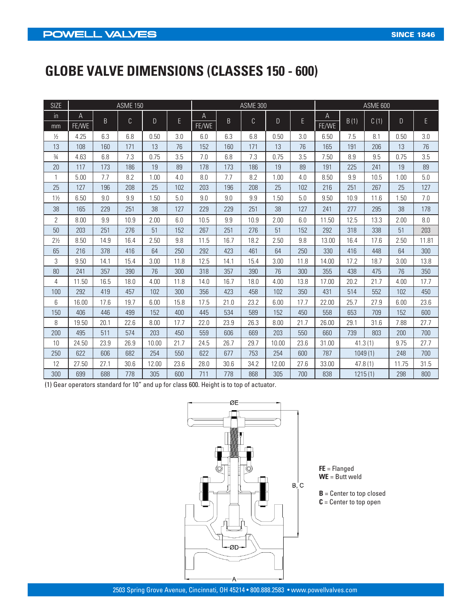# **GLOBE VALVE DIMENSIONS (CLASSES 150 - 600)**

| <b>SIZE</b>    |       |      | <b>ASME 150</b> |       |      |       |      | <b>ASME 300</b> |              |      | <b>ASME 600</b> |         |      |       |       |  |
|----------------|-------|------|-----------------|-------|------|-------|------|-----------------|--------------|------|-----------------|---------|------|-------|-------|--|
| $\overline{m}$ | A     | B.   |                 | D     | E    | Α     | B    | $\mathbb{C}$    | $\mathsf{D}$ | E.   | A               | B(1)    | C(1) | D     | E     |  |
| mm             | FE/WE |      | C               |       |      | FE/WE |      |                 |              |      | FE/WE           |         |      |       |       |  |
| $\frac{1}{2}$  | 4.25  | 6.3  | 6.8             | 0.50  | 3.0  | 6.0   | 6.3  | 6.8             | 0.50         | 3.0  | 6.50            | 7.5     | 8.1  | 0.50  | 3.0   |  |
| 13             | 108   | 160  | 171             | 13    | 76   | 152   | 160  | 171             | 13           | 76   | 165             | 191     | 206  | 13    | 76    |  |
| $\frac{3}{4}$  | 4.63  | 6.8  | 7.3             | 0.75  | 3.5  | 7.0   | 6.8  | 7.3             | 0.75         | 3.5  | 7.50            | 8.9     | 9.5  | 0.75  | 3.5   |  |
| 20             | 117   | 173  | 186             | 19    | 89   | 178   | 173  | 186             | 19           | 89   | 191             | 225     | 241  | 19    | 89    |  |
| $\mathbf{1}$   | 5.00  | 7.7  | 8.2             | 1.00  | 4.0  | 8.0   | 7.7  | 8.2             | 1.00         | 4.0  | 8.50            | 9.9     | 10.5 | 1.00  | 5.0   |  |
| 25             | 127   | 196  | 208             | 25    | 102  | 203   | 196  | 208             | 25           | 102  | 216             | 251     | 267  | 25    | 127   |  |
| $1\frac{1}{2}$ | 6.50  | 9.0  | 9.9             | 1.50  | 5.0  | 9.0   | 9.0  | 9.9             | 1.50         | 5.0  | 9.50            | 10.9    | 11.6 | 1.50  | 7.0   |  |
| 38             | 165   | 229  | 251             | 38    | 127  | 229   | 229  | 251             | 38           | 127  | 241             | 277     | 295  | 38    | 178   |  |
| $\overline{2}$ | 8.00  | 9.9  | 10.9            | 2.00  | 6.0  | 10.5  | 9.9  | 10.9            | 2.00         | 6.0  | 11.50           | 12.5    | 13.3 | 2.00  | 8.0   |  |
| 50             | 203   | 251  | 276             | 51    | 152  | 267   | 251  | 276             | 51           | 152  | 292             | 318     | 338  | 51    | 203   |  |
| $2\frac{1}{2}$ | 8.50  | 14.9 | 16.4            | 2.50  | 9.8  | 11.5  | 16.7 | 18.2            | 2.50         | 9.8  | 13.00           | 16.4    | 17.6 | 2.50  | 11.81 |  |
| 65             | 216   | 378  | 416             | 64    | 250  | 292   | 423  | 461             | 64           | 250  | 330             | 416     | 448  | 64    | 300   |  |
| 3              | 9.50  | 14.1 | 15.4            | 3.00  | 11.8 | 12.5  | 14.1 | 15.4            | 3.00         | 11.8 | 14.00           | 17.2    | 18.7 | 3.00  | 13.8  |  |
| 80             | 241   | 357  | 390             | 76    | 300  | 318   | 357  | 390             | 76           | 300  | 355             | 438     | 475  | 76    | 350   |  |
| 4              | 11.50 | 16.5 | 18.0            | 4.00  | 11.8 | 14.0  | 16.7 | 18.0            | 4.00         | 13.8 | 17.00           | 20.2    | 21.7 | 4.00  | 17.7  |  |
| 100            | 292   | 419  | 457             | 102   | 300  | 356   | 423  | 458             | 102          | 350  | 431             | 514     | 552  | 102   | 450   |  |
| 6              | 16.00 | 17.6 | 19.7            | 6.00  | 15.8 | 17.5  | 21.0 | 23.2            | 6.00         | 17.7 | 22.00           | 25.7    | 27.9 | 6.00  | 23.6  |  |
| 150            | 406   | 446  | 499             | 152   | 400  | 445   | 534  | 589             | 152          | 450  | 558             | 653     | 709  | 152   | 600   |  |
| 8              | 19.50 | 20.1 | 22.6            | 8.00  | 17.7 | 22.0  | 23.9 | 26.3            | 8.00         | 21.7 | 26.00           | 29.1    | 31.6 | 7.88  | 27.7  |  |
| 200            | 495   | 511  | 574             | 203   | 450  | 559   | 606  | 669             | 203          | 550  | 660             | 739     | 803  | 200   | 700   |  |
| 10             | 24.50 | 23.9 | 26.9            | 10.00 | 21.7 | 24.5  | 26.7 | 29.7            | 10.00        | 23.6 | 31.00           | 41.3(1) |      | 9.75  | 27.7  |  |
| 250            | 622   | 606  | 682             | 254   | 550  | 622   | 677  | 753             | 254          | 600  | 787             | 1049(1) |      | 248   | 700   |  |
| 12             | 27.50 | 27.1 | 30.6            | 12.00 | 23.6 | 28.0  | 30.6 | 34.2            | 12.00        | 27.6 | 33.00           | 47.8(1) |      | 11.75 | 31.5  |  |
| 300            | 699   | 688  | 778             | 305   | 600  | 711   | 778  | 868             | 305          | 700  | 838             | 1215(1) |      | 298   | 800   |  |

(1) Gear operators standard for 10" and up for class 600. Height is to top of actuator.



**FE** = Flanged **WE** = Butt weld

**B** = Center to top closed **C** = Center to top open